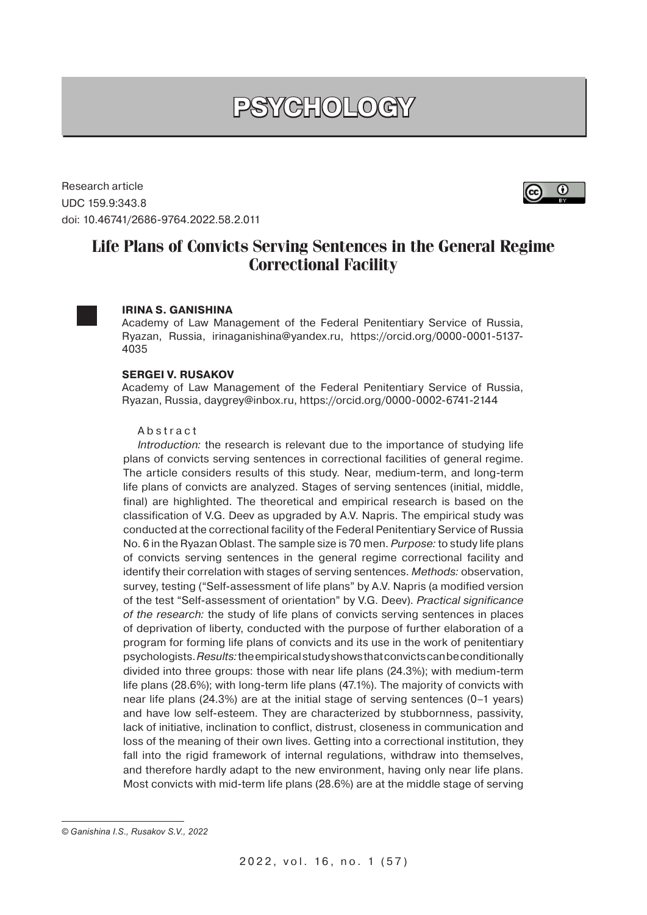# **PSYCHOLOGY**

Research article UDC 159.9:343.8 doi: 10.46741/2686-9764.2022.58.2.011

## $_{\odot}$

### **Life Plans of Convicts Serving Sentences in the General Regime Correctional Facility**



#### **IRINA S. GANISHINA**

Academy of Law Management of the Federal Penitentiary Service of Russia, Ryazan, Russia, irinaganishina@yandex.ru, https://orcid.org/0000-0001-5137- 4035

#### **SERGEI V. RUSAKOV**

Academy of Law Management of the Federal Penitentiary Service of Russia, Ryazan, Russia, daygrey@inbox.ru, https://orcid.org/0000-0002-6741-2144

#### Abstract

Introduction: the research is relevant due to the importance of studying life plans of convicts serving sentences in correctional facilities of general regime. The article considers results of this study. Near, medium-term, and long-term life plans of convicts are analyzed. Stages of serving sentences (initial, middle, final) are highlighted. The theoretical and empirical research is based on the classification of V.G. Deev as upgraded by A.V. Napris. The empirical study was conducted at the correctional facility of the Federal Penitentiary Service of Russia No. 6 in the Ryazan Oblast. The sample size is 70 men. Purpose: to study life plans of convicts serving sentences in the general regime correctional facility and identify their correlation with stages of serving sentences. Methods: observation, survey, testing ("Self-assessment of life plans" by A.V. Napris (a modified version of the test "Self-assessment of orientation" by V.G. Deev). Practical significance of the research: the study of life plans of convicts serving sentences in places of deprivation of liberty, conducted with the purpose of further elaboration of a program for forming life plans of convicts and its use in the work of penitentiary psychologists. Results: the empirical study shows that convicts can be conditionally divided into three groups: those with near life plans (24.3%); with medium-term life plans (28.6%); with long-term life plans (47.1%). The majority of convicts with near life plans (24.3%) are at the initial stage of serving sentences (0–1 years) and have low self-esteem. They are characterized by stubbornness, passivity, lack of initiative, inclination to conflict, distrust, closeness in communication and loss of the meaning of their own lives. Getting into a correctional institution, they fall into the rigid framework of internal regulations, withdraw into themselves, and therefore hardly adapt to the new environment, having only near life plans. Most convicts with mid-term life plans (28.6%) are at the middle stage of serving

*<sup>©</sup> Ganishina I.S., Rusakov S.V., 2022*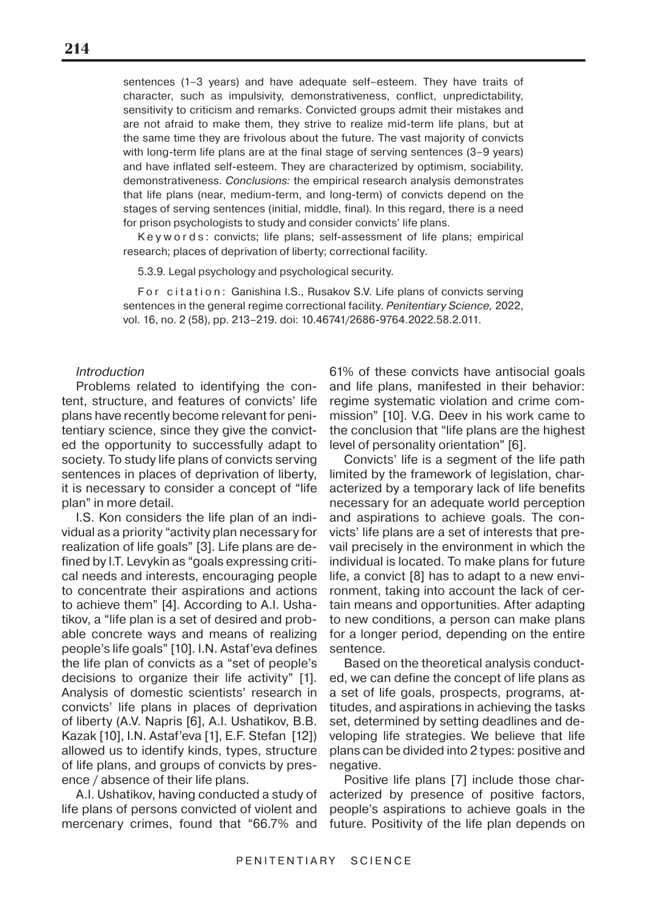sentences (1–3 years) and have adequate self–esteem. They have traits of character, such as impulsivity, demonstrativeness, conflict, unpredictability, sensitivity to criticism and remarks. Convicted groups admit their mistakes and are not afraid to make them, they strive to realize mid-term life plans, but at the same time they are frivolous about the future. The vast majority of convicts with long-term life plans are at the final stage of serving sentences (3–9 years) and have inflated self-esteem. They are characterized by optimism, sociability, demonstrativeness. Conclusions: the empirical research analysis demonstrates that life plans (near, medium-term, and long-term) of convicts depend on the stages of serving sentences (initial, middle, final). In this regard, there is a need for prison psychologists to study and consider convicts' life plans.

Keywords: convicts; life plans; self-assessment of life plans; empirical research; places of deprivation of liberty; correctional facility.

5.3.9. Legal psychology and psychological security.

For citation: Ganishina I.S., Rusakov S.V. Life plans of convicts serving sentences in the general regime correctional facility. Penitentiary Science, 2022, vol. 16, no. 2 (58), pp. 213–219. doi: 10.46741/2686-9764.2022.58.2.011.

#### **Introduction**

Problems related to identifying the content, structure, and features of convicts' life plans have recently become relevant for penitentiary science, since they give the convicted the opportunity to successfully adapt to society. To study life plans of convicts serving sentences in places of deprivation of liberty, it is necessary to consider a concept of "life plan" in more detail.

I.S. Kon considers the life plan of an individual as a priority "activity plan necessary for realization of life goals" [3]. Life plans are defined by I.T. Levykin as "goals expressing critical needs and interests, encouraging people to concentrate their aspirations and actions to achieve them" [4]. According to A.I. Ushatikov, a "life plan is a set of desired and probable concrete ways and means of realizing people's life goals" [10]. I.N. Astaf'eva defines the life plan of convicts as a "set of people's decisions to organize their life activity" [1]. Analysis of domestic scientists' research in convicts' life plans in places of deprivation of liberty (A.V. Napris [6], A.I. Ushatikov, B.B. Kazak [10], I.N. Astaf'eva [1], E.F. Stefan [12]) allowed us to identify kinds, types, structure of life plans, and groups of convicts by presence / absence of their life plans.

A.I. Ushatikov, having conducted a study of life plans of persons convicted of violent and mercenary crimes, found that "66.7% and

61% of these convicts have antisocial goals and life plans, manifested in their behavior: regime systematic violation and crime commission" [10]. V.G. Deev in his work came to the conclusion that "life plans are the highest level of personality orientation" [6].

Convicts' life is a segment of the life path limited by the framework of legislation, characterized by a temporary lack of life benefits necessary for an adequate world perception and aspirations to achieve goals. The convicts' life plans are a set of interests that prevail precisely in the environment in which the individual is located. To make plans for future life, a convict [8] has to adapt to a new environment, taking into account the lack of certain means and opportunities. After adapting to new conditions, a person can make plans for a longer period, depending on the entire sentence.

Based on the theoretical analysis conducted, we can define the concept of life plans as a set of life goals, prospects, programs, attitudes, and aspirations in achieving the tasks set, determined by setting deadlines and developing life strategies. We believe that life plans can be divided into 2 types: positive and negative.

Positive life plans [7] include those characterized by presence of positive factors, people's aspirations to achieve goals in the future. Positivity of the life plan depends on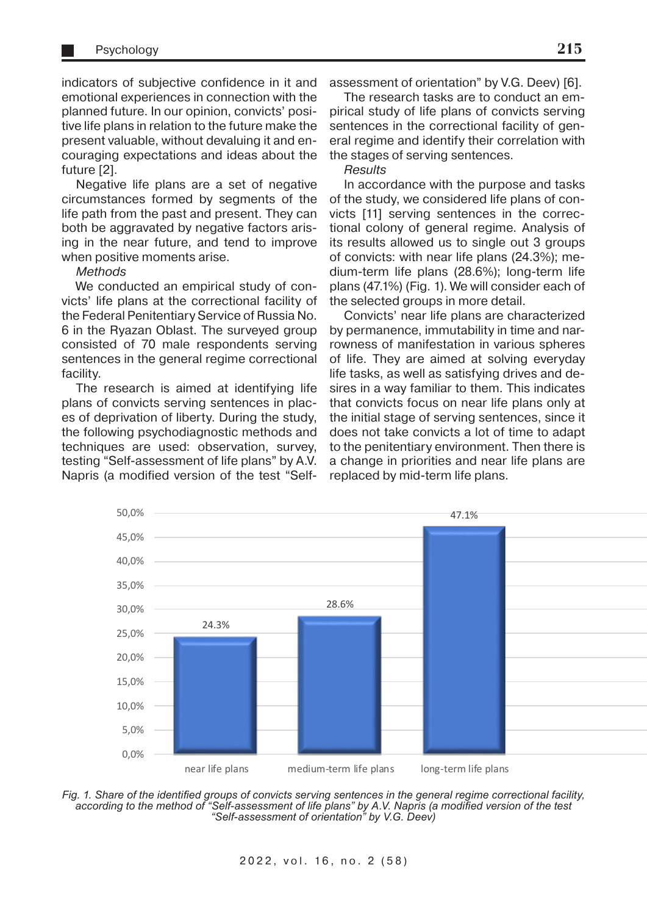indicators of subjective confidence in it and emotional experiences in connection with the planned future. In our opinion, convicts' positive life plans in relation to the future make the present valuable, without devaluing it and encouraging expectations and ideas about the future [2].

Negative life plans are a set of negative circumstances formed by segments of the life path from the past and present. They can both be aggravated by negative factors arising in the near future, and tend to improve when positive moments arise.

#### **Methods**

We conducted an empirical study of convicts' life plans at the correctional facility of the Federal Penitentiary Service of Russia No. 6 in the Ryazan Oblast. The surveyed group consisted of 70 male respondents serving sentences in the general regime correctional facility.

The research is aimed at identifying life plans of convicts serving sentences in places of deprivation of liberty. During the study, the following psychodiagnostic methods and techniques are used: observation, survey, testing "Self-assessment of life plans" by A.V. Napris (a modified version of the test "Selfassessment of orientation" by V.G. Deev) [6].

The research tasks are to conduct an empirical study of life plans of convicts serving sentences in the correctional facility of general regime and identify their correlation with the stages of serving sentences.

#### Results

In accordance with the purpose and tasks of the study, we considered life plans of convicts [11] serving sentences in the correctional colony of general regime. Analysis of its results allowed us to single out 3 groups of convicts: with near life plans (24.3%); medium-term life plans (28.6%); long-term life plans (47.1%) (Fig. 1). We will consider each of the selected groups in more detail.

Convicts' near life plans are characterized by permanence, immutability in time and narrowness of manifestation in various spheres of life. They are aimed at solving everyday life tasks, as well as satisfying drives and desires in a way familiar to them. This indicates that convicts focus on near life plans only at the initial stage of serving sentences, since it does not take convicts a lot of time to adapt to the penitentiary environment. Then there is a change in priorities and near life plans are replaced by mid-term life plans.



*Fig. 1. Share of the identified groups of convicts serving sentences in the general regime correctional facility, according to the method of "Self-assessment of life plans" by A.V. Napris (a modified version of the test "Self-assessment of orientation" by V.G. Deev)*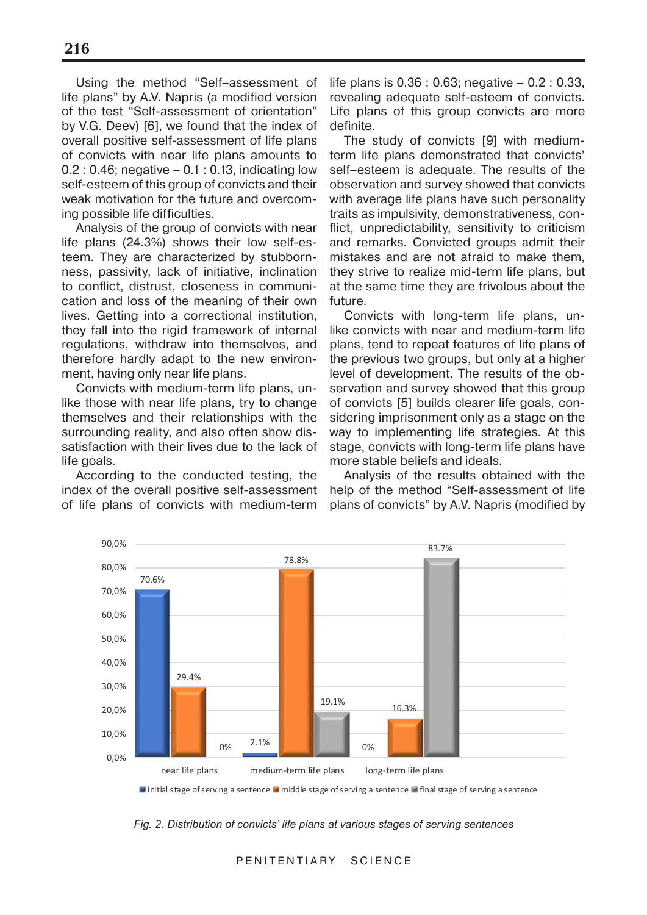Using the method "Self–assessment of life plans" by A.V. Napris (a modified version of the test "Self-assessment of orientation" by V.G. Deev) [6], we found that the index of overall positive self-assessment of life plans of convicts with near life plans amounts to 0.2 : 0.46; negative – 0.1 : 0.13, indicating low self-esteem of this group of convicts and their weak motivation for the future and overcoming possible life difficulties.

Analysis of the group of convicts with near life plans (24.3%) shows their low self-esteem. They are characterized by stubbornness, passivity, lack of initiative, inclination to conflict, distrust, closeness in communication and loss of the meaning of their own lives. Getting into a correctional institution, they fall into the rigid framework of internal regulations, withdraw into themselves, and therefore hardly adapt to the new environment, having only near life plans.

Convicts with medium-term life plans, unlike those with near life plans, try to change themselves and their relationships with the surrounding reality, and also often show dissatisfaction with their lives due to the lack of life goals.

According to the conducted testing, the index of the overall positive self-assessment of life plans of convicts with medium-term life plans is 0.36 : 0.63; negative – 0.2 : 0.33, revealing adequate self-esteem of convicts. Life plans of this group convicts are more definite.

The study of convicts [9] with mediumterm life plans demonstrated that convicts' self–esteem is adequate. The results of the observation and survey showed that convicts with average life plans have such personality traits as impulsivity, demonstrativeness, conflict, unpredictability, sensitivity to criticism and remarks. Convicted groups admit their mistakes and are not afraid to make them, they strive to realize mid-term life plans, but at the same time they are frivolous about the future.

Convicts with long-term life plans, unlike convicts with near and medium-term life plans, tend to repeat features of life plans of the previous two groups, but only at a higher level of development. The results of the observation and survey showed that this group of convicts [5] builds clearer life goals, considering imprisonment only as a stage on the way to implementing life strategies. At this stage, convicts with long-term life plans have more stable beliefs and ideals.

Analysis of the results obtained with the help of the method "Self-assessment of life plans of convicts" by A.V. Napris (modified by



**If initial stage of serving a sentence II middle stage of serving a sentence II final stage of serving a sentence** 

*Fig. 2. Distribution of convicts' life plans at various stages of serving sentences*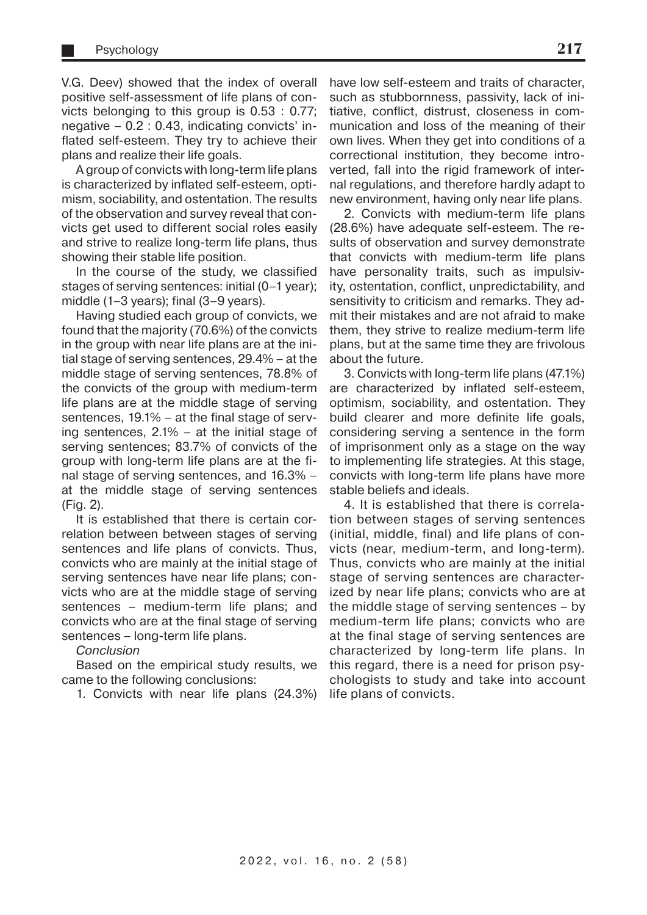V.G. Deev) showed that the index of overall positive self-assessment of life plans of convicts belonging to this group is 0.53 : 0.77; negative – 0.2 : 0.43, indicating convicts' inflated self-esteem. They try to achieve their plans and realize their life goals.

A group of convicts with long-term life plans is characterized by inflated self-esteem, optimism, sociability, and ostentation. The results of the observation and survey reveal that convicts get used to different social roles easily and strive to realize long-term life plans, thus showing their stable life position.

In the course of the study, we classified stages of serving sentences: initial (0–1 year); middle (1–3 years); final (3–9 years).

Having studied each group of convicts, we found that the majority (70.6%) of the convicts in the group with near life plans are at the initial stage of serving sentences, 29.4% – at the middle stage of serving sentences, 78.8% of the convicts of the group with medium-term life plans are at the middle stage of serving sentences, 19.1% – at the final stage of serving sentences, 2.1% – at the initial stage of serving sentences; 83.7% of convicts of the group with long-term life plans are at the final stage of serving sentences, and 16.3% – at the middle stage of serving sentences (Fig. 2).

It is established that there is certain correlation between between stages of serving sentences and life plans of convicts. Thus, convicts who are mainly at the initial stage of serving sentences have near life plans; convicts who are at the middle stage of serving sentences – medium-term life plans; and convicts who are at the final stage of serving sentences – long-term life plans.

#### **Conclusion**

Based on the empirical study results, we came to the following conclusions:

1. Convicts with near life plans (24.3%)

have low self-esteem and traits of character, such as stubbornness, passivity, lack of initiative, conflict, distrust, closeness in communication and loss of the meaning of their own lives. When they get into conditions of a correctional institution, they become introverted, fall into the rigid framework of internal regulations, and therefore hardly adapt to new environment, having only near life plans.

2. Convicts with medium-term life plans (28.6%) have adequate self-esteem. The results of observation and survey demonstrate that convicts with medium-term life plans have personality traits, such as impulsivity, ostentation, conflict, unpredictability, and sensitivity to criticism and remarks. They admit their mistakes and are not afraid to make them, they strive to realize medium-term life plans, but at the same time they are frivolous about the future.

3. Convicts with long-term life plans (47.1%) are characterized by inflated self-esteem, optimism, sociability, and ostentation. They build clearer and more definite life goals, considering serving a sentence in the form of imprisonment only as a stage on the way to implementing life strategies. At this stage, convicts with long-term life plans have more stable beliefs and ideals.

4. It is established that there is correlation between stages of serving sentences (initial, middle, final) and life plans of convicts (near, medium-term, and long-term). Thus, convicts who are mainly at the initial stage of serving sentences are characterized by near life plans; convicts who are at the middle stage of serving sentences – by medium-term life plans; convicts who are at the final stage of serving sentences are characterized by long-term life plans. In this regard, there is a need for prison psychologists to study and take into account life plans of convicts.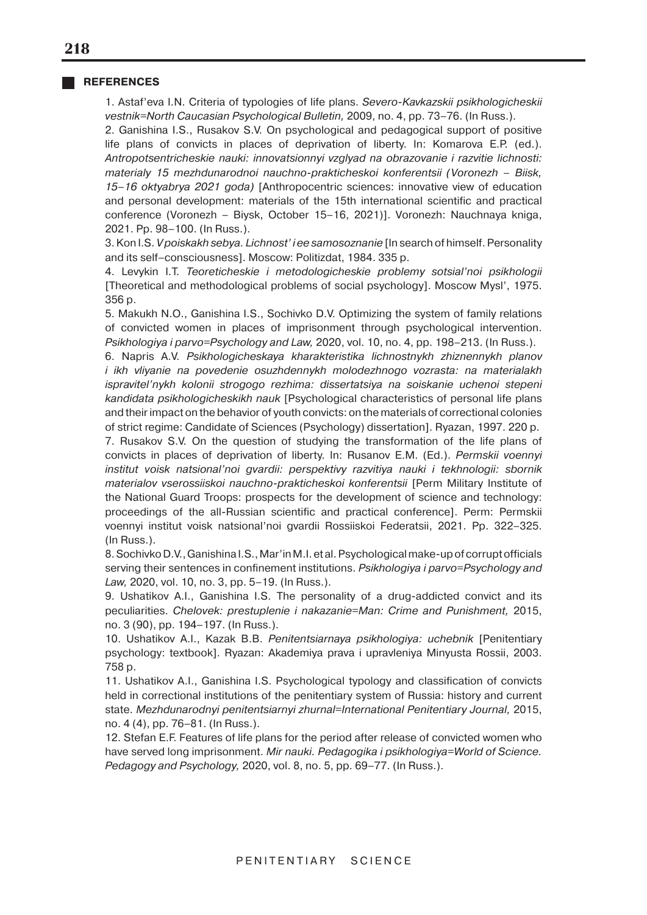#### **REFERENCES**

1. Astaf'eva I.N. Criteria of typologies of life plans. Severo-Kavkazskii psikhologicheskii vestnik=North Caucasian Psychological Bulletin, 2009, no. 4, pp. 73–76. (In Russ.).

2. Ganishina I.S., Rusakov S.V. On psychological and pedagogical support of positive life plans of convicts in places of deprivation of liberty. In: Komarova E.P. (ed.). Antropotsentricheskie nauki: innovatsionnyi vzglyad na obrazovanie i razvitie lichnosti: materialy 15 mezhdunarodnoi nauchno-prakticheskoi konferentsii (Voronezh – Biisk, 15–16 oktyabrya 2021 goda) [Anthropocentric sciences: innovative view of education and personal development: materials of the 15th international scientific and practical conference (Voronezh – Biysk, October 15–16, 2021)]. Voronezh: Nauchnaya kniga, 2021. Pp. 98–100. (In Russ.).

3. Kon I.S. V poiskakh sebya. Lichnost' i ee samosoznanie [In search of himself. Personality and its self–consciousness]. Moscow: Politizdat, 1984. 335 p.

4. Levykin I.T. Teoreticheskie i metodologicheskie problemy sotsial'noi psikhologii [Theoretical and methodological problems of social psychology]. Moscow Mysl', 1975. 356 p.

5. Makukh N.O., Ganishina I.S., Sochivko D.V. Optimizing the system of family relations of convicted women in places of imprisonment through psychological intervention. Psikhologiya i parvo=Psychology and Law, 2020, vol. 10, no. 4, pp. 198–213. (In Russ.).

6. Napris A.V. Psikhologicheskaya kharakteristika lichnostnykh zhiznennykh planov i ikh vliyanie na povedenie osuzhdennykh molodezhnogo vozrasta: na materialakh ispravitel'nykh kolonii strogogo rezhima: dissertatsiya na soiskanie uchenoi stepeni kandidata psikhologicheskikh nauk [Psychological characteristics of personal life plans and their impact on the behavior of youth convicts: on the materials of correctional colonies of strict regime: Candidate of Sciences (Psychology) dissertation]. Ryazan, 1997. 220 p.

7. Rusakov S.V. On the question of studying the transformation of the life plans of convicts in places of deprivation of liberty. In: Rusanov E.M. (Ed.). Permskii voennyi institut voisk natsional'noi gvardii: perspektivy razvitiya nauki i tekhnologii: sbornik materialov vserossiiskoi nauchno-prakticheskoi konferentsii [Perm Military Institute of the National Guard Troops: prospects for the development of science and technology: proceedings of the all-Russian scientific and practical conference]. Perm: Permskii voennyi institut voisk natsional'noi gvardii Rossiiskoi Federatsii, 2021. Pp. 322–325. (In Russ.).

8. Sochivko D.V., Ganishina I.S., Mar'in M.I. et al. Psychological make-up of corrupt officials serving their sentences in confinement institutions. Psikhologiya i parvo=Psychology and Law, 2020, vol. 10, no. 3, pp. 5–19. (In Russ.).

9. Ushatikov A.I., Ganishina I.S. The personality of a drug-addicted convict and its peculiarities. Chelovek: prestuplenie i nakazanie=Man: Crime and Punishment, 2015, no. 3 (90), pp. 194–197. (In Russ.).

10. Ushatikov A.I., Kazak B.B. Penitentsiarnaya psikhologiya: uchebnik [Penitentiary psychology: textbook]. Ryazan: Akademiya prava i upravleniya Minyusta Rossii, 2003. 758 p.

11. Ushatikov A.I., Ganishina I.S. Psychological typology and classification of convicts held in correctional institutions of the penitentiary system of Russia: history and current state. Mezhdunarodnyi penitentsiarnyi zhurnal=International Penitentiary Journal, 2015, no. 4 (4), pp. 76–81. (In Russ.).

12. Stefan E.F. Features of life plans for the period after release of convicted women who have served long imprisonment. Mir nauki. Pedagogika i psikhologiya=World of Science. Pedagogy and Psychology, 2020, vol. 8, no. 5, pp. 69-77. (In Russ.).